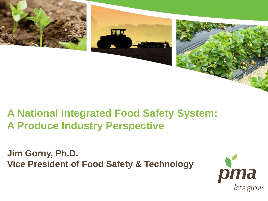



### **A National Integrated Food Safety System: A Produce Industry Perspective**

**Jim Gorny, Ph.D. Vice President of Food Safety & Technology**

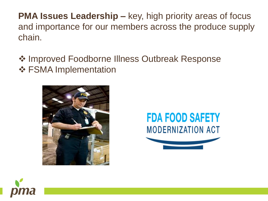**PMA Issues Leadership –** key, high priority areas of focus and importance for our members across the produce supply chain.

**❖ Improved Foodborne Illness Outbreak Response ❖ FSMA Implementation** 





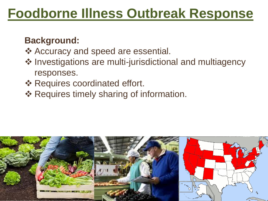# **Foodborne Illness Outbreak Response**

### **Background:**

- ❖ Accuracy and speed are essential.
- ❖ Investigations are multi-jurisdictional and multiagency responses.
- **\* Requires coordinated effort.**
- ❖ Requires timely sharing of information.

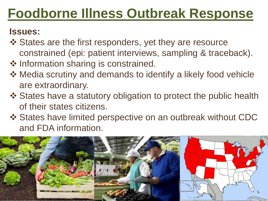# **Foodborne Illness Outbreak Response**

### **Issues:**

- ❖ States are the first responders, yet they are resource constrained (epi: patient interviews, sampling & traceback).
- $\cdot$  Information sharing is constrained.
- Media scrutiny and demands to identify a likely food vehicle are extraordinary.
- States have a statutory obligation to protect the public health of their states citizens.
- States have limited perspective on an outbreak without CDC and FDA information.

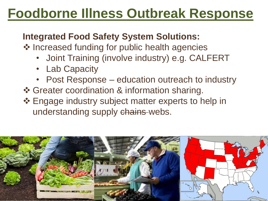## **Foodborne Illness Outbreak Response**

### **Integrated Food Safety System Solutions:**

- ❖ Increased funding for public health agencies
	- Joint Training (involve industry) e.g. CALFERT
	- Lab Capacity
	- Post Response education outreach to industry
- ❖ Greater coordination & information sharing.
- Engage industry subject matter experts to help in understanding supply chains webs.

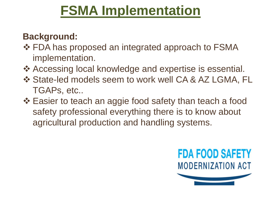### **Background:**

- FDA has proposed an integrated approach to FSMA implementation.
- Accessing local knowledge and expertise is essential.
- $\div$  **State-led models seem to work well CA & AZ LGMA, FL** TGAPs, etc..
- Easier to teach an aggie food safety than teach a food safety professional everything there is to know about agricultural production and handling systems.

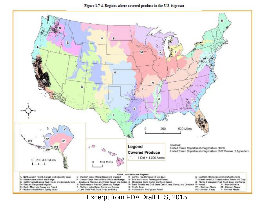

Figure 1.7-4. Regions where covered produce in the U.S. is grown

#### Excerpt from FDA Draft EIS, 2015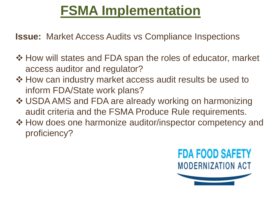**Issue:** Market Access Audits vs Compliance Inspections

- ❖ How will states and FDA span the roles of educator, market access auditor and regulator?
- ❖ How can industry market access audit results be used to inform FDA/State work plans?
- USDA AMS and FDA are already working on harmonizing audit criteria and the FSMA Produce Rule requirements.
- $\triangle$  **How does one harmonize auditor/inspector competency and** proficiency?

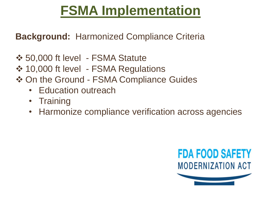### **Background:** Harmonized Compliance Criteria

- $\div$  **50,000 ft level FSMA Statute**
- ❖ 10,000 ft level FSMA Regulations
- **❖ On the Ground FSMA Compliance Guides** 
	- Education outreach
	- Training
	- Harmonize compliance verification across agencies

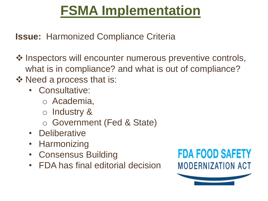### **Issue:** Harmonized Compliance Criteria

❖ Inspectors will encounter numerous preventive controls, what is in compliance? and what is out of compliance? ❖ Need a process that is:

- Consultative:
	- o Academia,
	- o Industry &
	- o Government (Fed & State)
- Deliberative
- **Harmonizing**
- Consensus Building
- FDA has final editorial decision

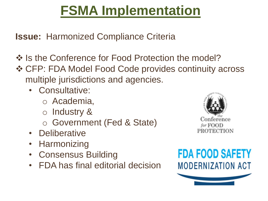**Issue:** Harmonized Compliance Criteria

- ❖ Is the Conference for Food Protection the model?
- CFP: FDA Model Food Code provides continuity across multiple jurisdictions and agencies.
	- Consultative:
		- o Academia,
		- o Industry &
		- o Government (Fed & State)
	- Deliberative
	- **Harmonizing**
	- Consensus Building
	- FDA has final editorial decision